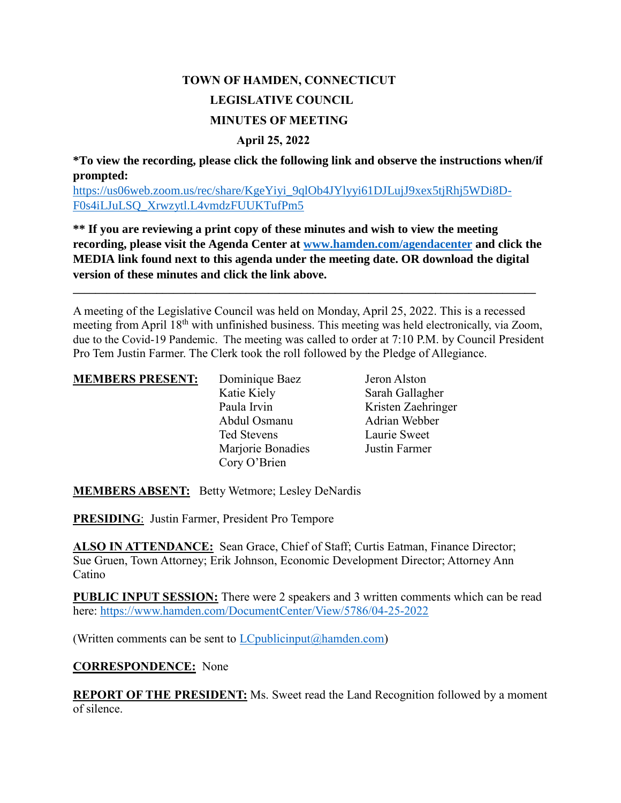# **TOWN OF HAMDEN, CONNECTICUT LEGISLATIVE COUNCIL MINUTES OF MEETING April 25, 2022**

**\*To view the recording, please click the following link and observe the instructions when/if prompted:**

[https://us06web.zoom.us/rec/share/KgeYiyi\\_9qlOb4JYlyyi61DJLujJ9xex5tjRhj5WDi8D-](https://us06web.zoom.us/rec/share/KgeYiyi_9qlOb4JYlyyi61DJLujJ9xex5tjRhj5WDi8D-F0s4iLJuLSQ_Xrwzytl.L4vmdzFUUKTufPm5)[F0s4iLJuLSQ\\_Xrwzytl.L4vmdzFUUKTufPm5](https://us06web.zoom.us/rec/share/KgeYiyi_9qlOb4JYlyyi61DJLujJ9xex5tjRhj5WDi8D-F0s4iLJuLSQ_Xrwzytl.L4vmdzFUUKTufPm5)

**\*\* If you are reviewing a print copy of these minutes and wish to view the meeting recording, please visit the Agenda Center at [www.hamden.com/agendacenter](http://www.hamden.com/agendacenter) and click the MEDIA link found next to this agenda under the meeting date. OR download the digital version of these minutes and click the link above.**

**\_\_\_\_\_\_\_\_\_\_\_\_\_\_\_\_\_\_\_\_\_\_\_\_\_\_\_\_\_\_\_\_\_\_\_\_\_\_\_\_\_\_\_\_\_\_\_\_\_\_\_\_\_\_\_\_\_\_\_\_\_\_\_\_\_\_\_\_\_\_\_\_\_\_\_\_\_\_\_\_\_\_\_**

A meeting of the Legislative Council was held on Monday, April 25, 2022. This is a recessed meeting from April 18<sup>th</sup> with unfinished business. This meeting was held electronically, via Zoom, due to the Covid-19 Pandemic. The meeting was called to order at 7:10 P.M. by Council President Pro Tem Justin Farmer. The Clerk took the roll followed by the Pledge of Allegiance.

### **MEMBERS PRESENT:** Dominique Baez Jeron Alston

Katie Kiely Sarah Gallagher Paula Irvin Kristen Zaehringer Abdul Osmanu Adrian Webber Ted Stevens Laurie Sweet Marjorie Bonadies Justin Farmer Cory O'Brien

**MEMBERS ABSENT:** Betty Wetmore; Lesley DeNardis

**PRESIDING**: Justin Farmer, President Pro Tempore

**ALSO IN ATTENDANCE:** Sean Grace, Chief of Staff; Curtis Eatman, Finance Director; Sue Gruen, Town Attorney; Erik Johnson, Economic Development Director; Attorney Ann Catino

**PUBLIC INPUT SESSION:** There were 2 speakers and 3 written comments which can be read here:<https://www.hamden.com/DocumentCenter/View/5786/04-25-2022>

(Written comments can be sent to  $LC$  publicinput  $(a)$  hamden.com)

**CORRESPONDENCE:** None

**REPORT OF THE PRESIDENT:** Ms. Sweet read the Land Recognition followed by a moment of silence.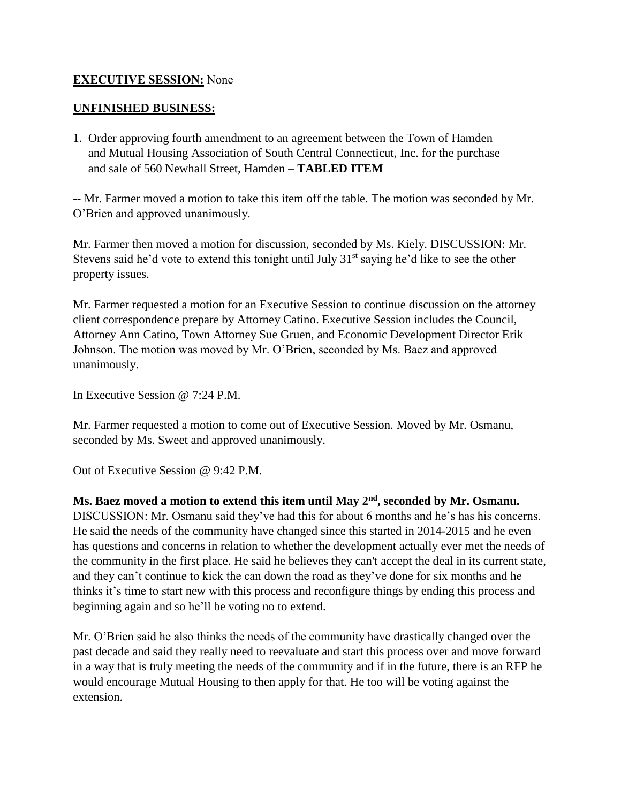# **EXECUTIVE SESSION:** None

# **UNFINISHED BUSINESS:**

1. Order approving fourth amendment to an agreement between the Town of Hamden and Mutual Housing Association of South Central Connecticut, Inc. for the purchase and sale of 560 Newhall Street, Hamden – **TABLED ITEM**

-- Mr. Farmer moved a motion to take this item off the table. The motion was seconded by Mr. O'Brien and approved unanimously.

Mr. Farmer then moved a motion for discussion, seconded by Ms. Kiely. DISCUSSION: Mr. Stevens said he'd vote to extend this tonight until July  $31<sup>st</sup>$  saying he'd like to see the other property issues.

Mr. Farmer requested a motion for an Executive Session to continue discussion on the attorney client correspondence prepare by Attorney Catino. Executive Session includes the Council, Attorney Ann Catino, Town Attorney Sue Gruen, and Economic Development Director Erik Johnson. The motion was moved by Mr. O'Brien, seconded by Ms. Baez and approved unanimously.

In Executive Session @ 7:24 P.M.

Mr. Farmer requested a motion to come out of Executive Session. Moved by Mr. Osmanu, seconded by Ms. Sweet and approved unanimously.

Out of Executive Session @ 9:42 P.M.

### **Ms. Baez moved a motion to extend this item until May 2nd, seconded by Mr. Osmanu.**

DISCUSSION: Mr. Osmanu said they've had this for about 6 months and he's has his concerns. He said the needs of the community have changed since this started in 2014-2015 and he even has questions and concerns in relation to whether the development actually ever met the needs of the community in the first place. He said he believes they can't accept the deal in its current state, and they can't continue to kick the can down the road as they've done for six months and he thinks it's time to start new with this process and reconfigure things by ending this process and beginning again and so he'll be voting no to extend.

Mr. O'Brien said he also thinks the needs of the community have drastically changed over the past decade and said they really need to reevaluate and start this process over and move forward in a way that is truly meeting the needs of the community and if in the future, there is an RFP he would encourage Mutual Housing to then apply for that. He too will be voting against the extension.